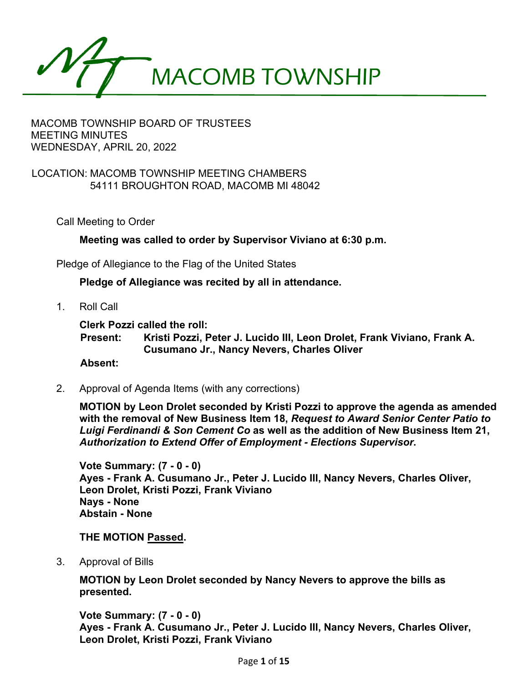

## LOCATION: MACOMB TOWNSHIP MEETING CHAMBERS 54111 BROUGHTON ROAD, MACOMB MI 48042

Call Meeting to Order

**Meeting was called to order by Supervisor Viviano at 6:30 p.m.**

Pledge of Allegiance to the Flag of the United States

**Pledge of Allegiance was recited by all in attendance.**

1. Roll Call

**Clerk Pozzi called the roll:**

**Present: Kristi Pozzi, Peter J. Lucido III, Leon Drolet, Frank Viviano, Frank A. Cusumano Jr., Nancy Nevers, Charles Oliver**

### **Absent:**

2. Approval of Agenda Items (with any corrections)

**MOTION by Leon Drolet seconded by Kristi Pozzi to approve the agenda as amended with the removal of New Business Item 18,** *Request to Award Senior Center Patio to Luigi Ferdinandi & Son Cement Co* **as well as the addition of New Business Item 21,**  *Authorization to Extend Offer of Employment - Elections Supervisor***.** 

**Vote Summary: (7 - 0 - 0) Ayes - Frank A. Cusumano Jr., Peter J. Lucido III, Nancy Nevers, Charles Oliver, Leon Drolet, Kristi Pozzi, Frank Viviano Nays - None Abstain - None** 

**THE MOTION Passed.**

3. Approval of Bills

**MOTION by Leon Drolet seconded by Nancy Nevers to approve the bills as presented.** 

**Vote Summary: (7 - 0 - 0) Ayes - Frank A. Cusumano Jr., Peter J. Lucido III, Nancy Nevers, Charles Oliver, Leon Drolet, Kristi Pozzi, Frank Viviano**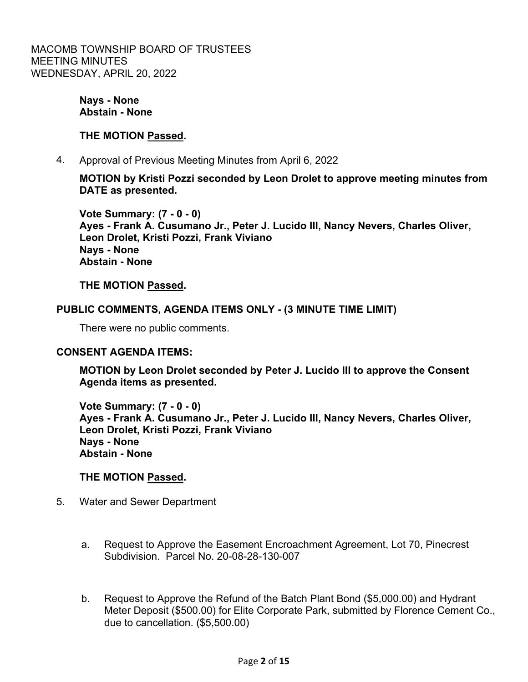> **Nays - None Abstain - None**

## **THE MOTION Passed.**

4. Approval of Previous Meeting Minutes from April 6, 2022

**MOTION by Kristi Pozzi seconded by Leon Drolet to approve meeting minutes from DATE as presented.** 

**Vote Summary: (7 - 0 - 0) Ayes - Frank A. Cusumano Jr., Peter J. Lucido III, Nancy Nevers, Charles Oliver, Leon Drolet, Kristi Pozzi, Frank Viviano Nays - None Abstain - None** 

### **THE MOTION Passed.**

### **PUBLIC COMMENTS, AGENDA ITEMS ONLY - (3 MINUTE TIME LIMIT)**

There were no public comments.

### **CONSENT AGENDA ITEMS:**

**MOTION by Leon Drolet seconded by Peter J. Lucido III to approve the Consent Agenda items as presented.** 

**Vote Summary: (7 - 0 - 0) Ayes - Frank A. Cusumano Jr., Peter J. Lucido III, Nancy Nevers, Charles Oliver, Leon Drolet, Kristi Pozzi, Frank Viviano Nays - None Abstain - None** 

### **THE MOTION Passed.**

- 5. Water and Sewer Department
	- a. Request to Approve the Easement Encroachment Agreement, Lot 70, Pinecrest Subdivision. Parcel No. 20-08-28-130-007
	- b. Request to Approve the Refund of the Batch Plant Bond (\$5,000.00) and Hydrant Meter Deposit (\$500.00) for Elite Corporate Park, submitted by Florence Cement Co., due to cancellation. (\$5,500.00)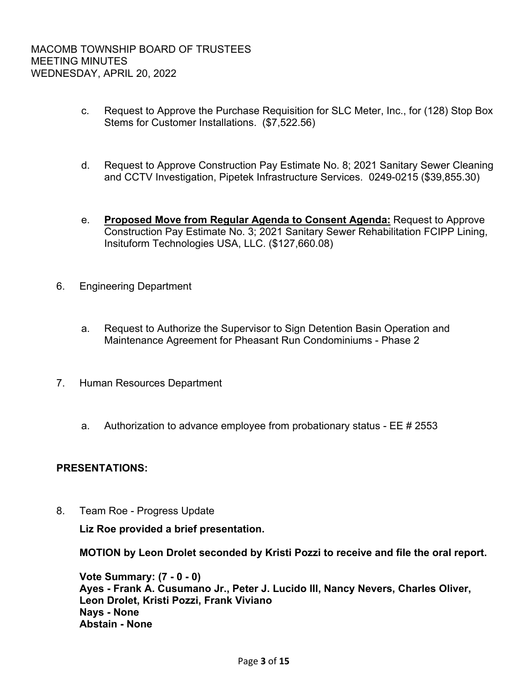- c. Request to Approve the Purchase Requisition for SLC Meter, Inc., for (128) Stop Box Stems for Customer Installations. (\$7,522.56)
- d. Request to Approve Construction Pay Estimate No. 8; 2021 Sanitary Sewer Cleaning and CCTV Investigation, Pipetek Infrastructure Services. 0249-0215 (\$39,855.30)
- e. **Proposed Move from Regular Agenda to Consent Agenda:** Request to Approve Construction Pay Estimate No. 3; 2021 Sanitary Sewer Rehabilitation FCIPP Lining, Insituform Technologies USA, LLC. (\$127,660.08)
- 6. Engineering Department
	- a. Request to Authorize the Supervisor to Sign Detention Basin Operation and Maintenance Agreement for Pheasant Run Condominiums - Phase 2
- 7. Human Resources Department
	- a. Authorization to advance employee from probationary status EE # 2553

## **PRESENTATIONS:**

8. Team Roe - Progress Update

**Liz Roe provided a brief presentation.** 

**MOTION by Leon Drolet seconded by Kristi Pozzi to receive and file the oral report.** 

**Vote Summary: (7 - 0 - 0) Ayes - Frank A. Cusumano Jr., Peter J. Lucido III, Nancy Nevers, Charles Oliver, Leon Drolet, Kristi Pozzi, Frank Viviano Nays - None Abstain - None**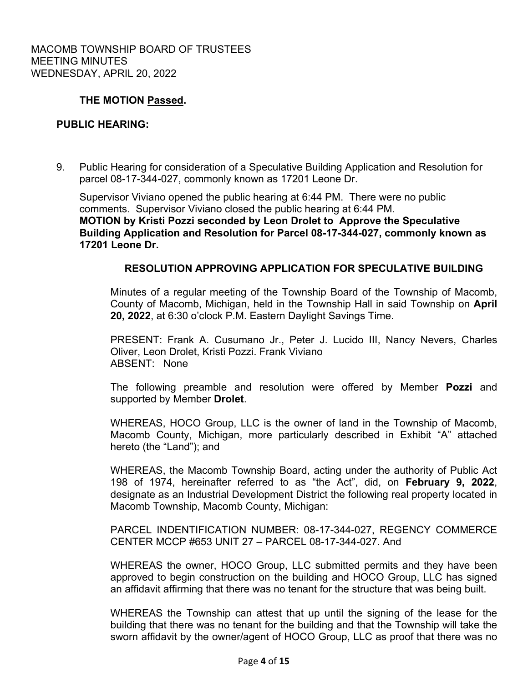## **THE MOTION Passed.**

## **PUBLIC HEARING:**

 9. Public Hearing for consideration of a Speculative Building Application and Resolution for parcel 08-17-344-027, commonly known as 17201 Leone Dr.

Supervisor Viviano opened the public hearing at 6:44 PM. There were no public comments. Supervisor Viviano closed the public hearing at 6:44 PM. **MOTION by Kristi Pozzi seconded by Leon Drolet to Approve the Speculative Building Application and Resolution for Parcel 08-17-344-027, commonly known as 17201 Leone Dr.** 

### **RESOLUTION APPROVING APPLICATION FOR SPECULATIVE BUILDING**

Minutes of a regular meeting of the Township Board of the Township of Macomb, County of Macomb, Michigan, held in the Township Hall in said Township on **April 20, 2022**, at 6:30 o'clock P.M. Eastern Daylight Savings Time.

PRESENT: Frank A. Cusumano Jr., Peter J. Lucido III, Nancy Nevers, Charles Oliver, Leon Drolet, Kristi Pozzi. Frank Viviano ABSENT: None

The following preamble and resolution were offered by Member **Pozzi** and supported by Member **Drolet**.

WHEREAS, HOCO Group, LLC is the owner of land in the Township of Macomb, Macomb County, Michigan, more particularly described in Exhibit "A" attached hereto (the "Land"); and

WHEREAS, the Macomb Township Board, acting under the authority of Public Act 198 of 1974, hereinafter referred to as "the Act", did, on **February 9, 2022**, designate as an Industrial Development District the following real property located in Macomb Township, Macomb County, Michigan:

PARCEL INDENTIFICATION NUMBER: 08-17-344-027, REGENCY COMMERCE CENTER MCCP #653 UNIT 27 – PARCEL 08-17-344-027. And

WHEREAS the owner, HOCO Group, LLC submitted permits and they have been approved to begin construction on the building and HOCO Group, LLC has signed an affidavit affirming that there was no tenant for the structure that was being built.

WHEREAS the Township can attest that up until the signing of the lease for the building that there was no tenant for the building and that the Township will take the sworn affidavit by the owner/agent of HOCO Group, LLC as proof that there was no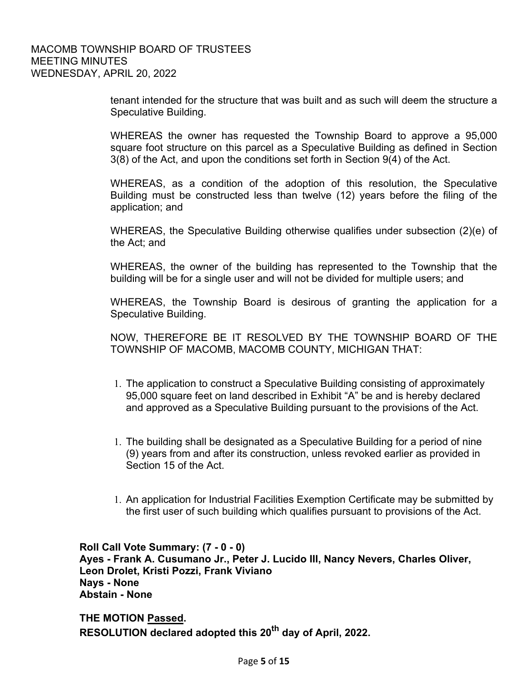tenant intended for the structure that was built and as such will deem the structure a Speculative Building.

WHEREAS the owner has requested the Township Board to approve a 95,000 square foot structure on this parcel as a Speculative Building as defined in Section 3(8) of the Act, and upon the conditions set forth in Section 9(4) of the Act.

WHEREAS, as a condition of the adoption of this resolution, the Speculative Building must be constructed less than twelve (12) years before the filing of the application; and

WHEREAS, the Speculative Building otherwise qualifies under subsection (2)(e) of the Act; and

WHEREAS, the owner of the building has represented to the Township that the building will be for a single user and will not be divided for multiple users; and

WHEREAS, the Township Board is desirous of granting the application for a Speculative Building.

NOW, THEREFORE BE IT RESOLVED BY THE TOWNSHIP BOARD OF THE TOWNSHIP OF MACOMB, MACOMB COUNTY, MICHIGAN THAT:

- 1. The application to construct a Speculative Building consisting of approximately 95,000 square feet on land described in Exhibit "A" be and is hereby declared and approved as a Speculative Building pursuant to the provisions of the Act.
- 1. The building shall be designated as a Speculative Building for a period of nine (9) years from and after its construction, unless revoked earlier as provided in Section 15 of the Act.
- 1. An application for Industrial Facilities Exemption Certificate may be submitted by the first user of such building which qualifies pursuant to provisions of the Act.

**Roll Call Vote Summary: (7 - 0 - 0) Ayes - Frank A. Cusumano Jr., Peter J. Lucido III, Nancy Nevers, Charles Oliver, Leon Drolet, Kristi Pozzi, Frank Viviano Nays - None Abstain - None** 

**THE MOTION Passed. RESOLUTION declared adopted this 20th day of April, 2022.**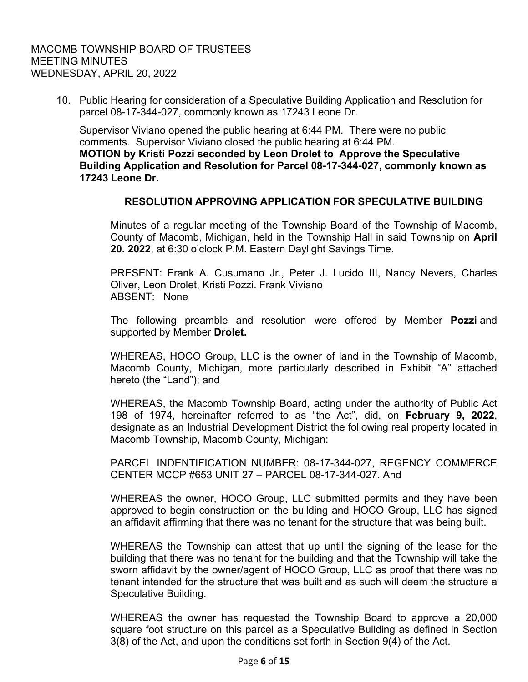10. Public Hearing for consideration of a Speculative Building Application and Resolution for parcel 08-17-344-027, commonly known as 17243 Leone Dr.

Supervisor Viviano opened the public hearing at 6:44 PM. There were no public comments. Supervisor Viviano closed the public hearing at 6:44 PM. **MOTION by Kristi Pozzi seconded by Leon Drolet to Approve the Speculative Building Application and Resolution for Parcel 08-17-344-027, commonly known as 17243 Leone Dr.** 

### **RESOLUTION APPROVING APPLICATION FOR SPECULATIVE BUILDING**

Minutes of a regular meeting of the Township Board of the Township of Macomb, County of Macomb, Michigan, held in the Township Hall in said Township on **April 20. 2022**, at 6:30 o'clock P.M. Eastern Daylight Savings Time.

PRESENT: Frank A. Cusumano Jr., Peter J. Lucido III, Nancy Nevers, Charles Oliver, Leon Drolet, Kristi Pozzi. Frank Viviano ABSENT: None

The following preamble and resolution were offered by Member **Pozzi** and supported by Member **Drolet.**

WHEREAS, HOCO Group, LLC is the owner of land in the Township of Macomb, Macomb County, Michigan, more particularly described in Exhibit "A" attached hereto (the "Land"); and

WHEREAS, the Macomb Township Board, acting under the authority of Public Act 198 of 1974, hereinafter referred to as "the Act", did, on **February 9, 2022**, designate as an Industrial Development District the following real property located in Macomb Township, Macomb County, Michigan:

PARCEL INDENTIFICATION NUMBER: 08-17-344-027, REGENCY COMMERCE CENTER MCCP #653 UNIT 27 – PARCEL 08-17-344-027. And

WHEREAS the owner, HOCO Group, LLC submitted permits and they have been approved to begin construction on the building and HOCO Group, LLC has signed an affidavit affirming that there was no tenant for the structure that was being built.

WHEREAS the Township can attest that up until the signing of the lease for the building that there was no tenant for the building and that the Township will take the sworn affidavit by the owner/agent of HOCO Group, LLC as proof that there was no tenant intended for the structure that was built and as such will deem the structure a Speculative Building.

WHEREAS the owner has requested the Township Board to approve a 20,000 square foot structure on this parcel as a Speculative Building as defined in Section 3(8) of the Act, and upon the conditions set forth in Section 9(4) of the Act.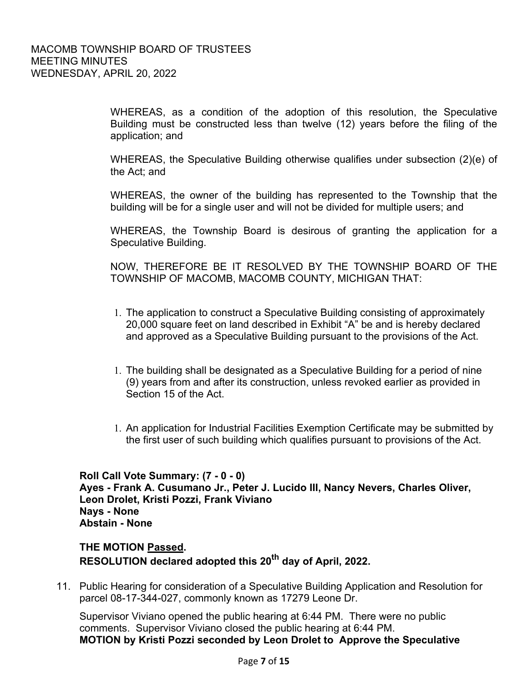WHEREAS, as a condition of the adoption of this resolution, the Speculative Building must be constructed less than twelve (12) years before the filing of the application; and

WHEREAS, the Speculative Building otherwise qualifies under subsection (2)(e) of the Act; and

WHEREAS, the owner of the building has represented to the Township that the building will be for a single user and will not be divided for multiple users; and

WHEREAS, the Township Board is desirous of granting the application for a Speculative Building.

NOW, THEREFORE BE IT RESOLVED BY THE TOWNSHIP BOARD OF THE TOWNSHIP OF MACOMB, MACOMB COUNTY, MICHIGAN THAT:

- 1. The application to construct a Speculative Building consisting of approximately 20,000 square feet on land described in Exhibit "A" be and is hereby declared and approved as a Speculative Building pursuant to the provisions of the Act.
- 1. The building shall be designated as a Speculative Building for a period of nine (9) years from and after its construction, unless revoked earlier as provided in Section 15 of the Act.
- 1. An application for Industrial Facilities Exemption Certificate may be submitted by the first user of such building which qualifies pursuant to provisions of the Act.

**Roll Call Vote Summary: (7 - 0 - 0) Ayes - Frank A. Cusumano Jr., Peter J. Lucido III, Nancy Nevers, Charles Oliver, Leon Drolet, Kristi Pozzi, Frank Viviano Nays - None Abstain - None** 

# **THE MOTION Passed. RESOLUTION declared adopted this 20th day of April, 2022.**

 11. Public Hearing for consideration of a Speculative Building Application and Resolution for parcel 08-17-344-027, commonly known as 17279 Leone Dr.

Supervisor Viviano opened the public hearing at 6:44 PM. There were no public comments. Supervisor Viviano closed the public hearing at 6:44 PM. **MOTION by Kristi Pozzi seconded by Leon Drolet to Approve the Speculative**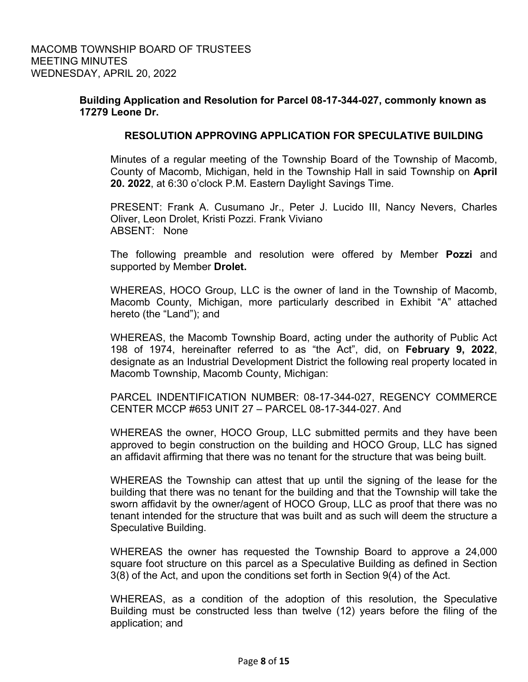## **Building Application and Resolution for Parcel 08-17-344-027, commonly known as 17279 Leone Dr.**

### **RESOLUTION APPROVING APPLICATION FOR SPECULATIVE BUILDING**

Minutes of a regular meeting of the Township Board of the Township of Macomb, County of Macomb, Michigan, held in the Township Hall in said Township on **April 20. 2022**, at 6:30 o'clock P.M. Eastern Daylight Savings Time.

PRESENT: Frank A. Cusumano Jr., Peter J. Lucido III, Nancy Nevers, Charles Oliver, Leon Drolet, Kristi Pozzi. Frank Viviano ABSENT: None

The following preamble and resolution were offered by Member **Pozzi** and supported by Member **Drolet.**

WHEREAS, HOCO Group, LLC is the owner of land in the Township of Macomb, Macomb County, Michigan, more particularly described in Exhibit "A" attached hereto (the "Land"); and

WHEREAS, the Macomb Township Board, acting under the authority of Public Act 198 of 1974, hereinafter referred to as "the Act", did, on **February 9, 2022**, designate as an Industrial Development District the following real property located in Macomb Township, Macomb County, Michigan:

PARCEL INDENTIFICATION NUMBER: 08-17-344-027, REGENCY COMMERCE CENTER MCCP #653 UNIT 27 – PARCEL 08-17-344-027. And

WHEREAS the owner, HOCO Group, LLC submitted permits and they have been approved to begin construction on the building and HOCO Group, LLC has signed an affidavit affirming that there was no tenant for the structure that was being built.

WHEREAS the Township can attest that up until the signing of the lease for the building that there was no tenant for the building and that the Township will take the sworn affidavit by the owner/agent of HOCO Group, LLC as proof that there was no tenant intended for the structure that was built and as such will deem the structure a Speculative Building.

WHEREAS the owner has requested the Township Board to approve a 24,000 square foot structure on this parcel as a Speculative Building as defined in Section 3(8) of the Act, and upon the conditions set forth in Section 9(4) of the Act.

WHEREAS, as a condition of the adoption of this resolution, the Speculative Building must be constructed less than twelve (12) years before the filing of the application; and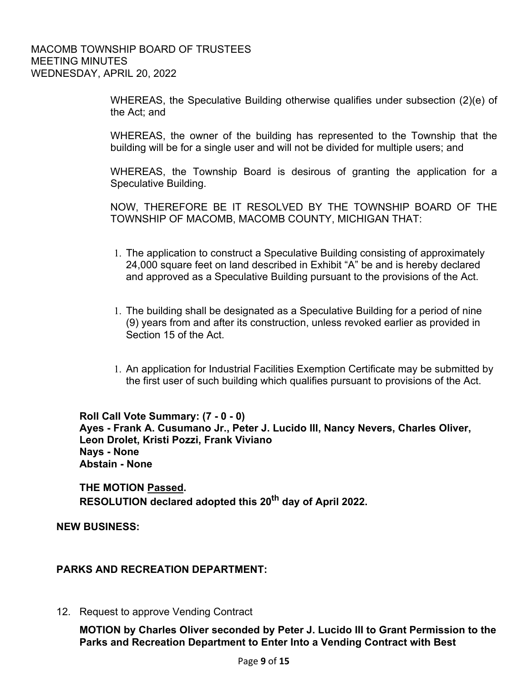WHEREAS, the Speculative Building otherwise qualifies under subsection (2)(e) of the Act; and

WHEREAS, the owner of the building has represented to the Township that the building will be for a single user and will not be divided for multiple users; and

WHEREAS, the Township Board is desirous of granting the application for a Speculative Building.

NOW, THEREFORE BE IT RESOLVED BY THE TOWNSHIP BOARD OF THE TOWNSHIP OF MACOMB, MACOMB COUNTY, MICHIGAN THAT:

- 1. The application to construct a Speculative Building consisting of approximately 24,000 square feet on land described in Exhibit "A" be and is hereby declared and approved as a Speculative Building pursuant to the provisions of the Act.
- 1. The building shall be designated as a Speculative Building for a period of nine (9) years from and after its construction, unless revoked earlier as provided in Section 15 of the Act.
- 1. An application for Industrial Facilities Exemption Certificate may be submitted by the first user of such building which qualifies pursuant to provisions of the Act.

**Roll Call Vote Summary: (7 - 0 - 0) Ayes - Frank A. Cusumano Jr., Peter J. Lucido III, Nancy Nevers, Charles Oliver, Leon Drolet, Kristi Pozzi, Frank Viviano Nays - None Abstain - None** 

**THE MOTION Passed. RESOLUTION declared adopted this 20th day of April 2022.** 

**NEW BUSINESS:**

## **PARKS AND RECREATION DEPARTMENT:**

12. Request to approve Vending Contract

 **MOTION by Charles Oliver seconded by Peter J. Lucido III to Grant Permission to the Parks and Recreation Department to Enter Into a Vending Contract with Best**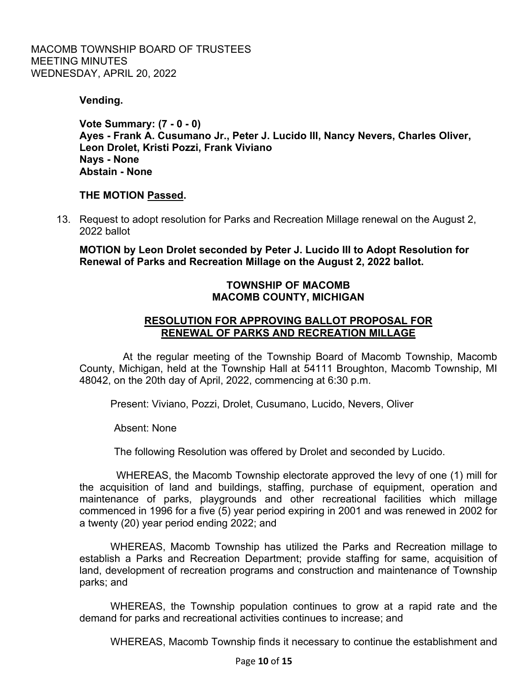**Vending.** 

**Vote Summary: (7 - 0 - 0) Ayes - Frank A. Cusumano Jr., Peter J. Lucido III, Nancy Nevers, Charles Oliver, Leon Drolet, Kristi Pozzi, Frank Viviano Nays - None Abstain - None** 

## **THE MOTION Passed.**

 13. Request to adopt resolution for Parks and Recreation Millage renewal on the August 2, 2022 ballot

**MOTION by Leon Drolet seconded by Peter J. Lucido III to Adopt Resolution for Renewal of Parks and Recreation Millage on the August 2, 2022 ballot.** 

## **TOWNSHIP OF MACOMB MACOMB COUNTY, MICHIGAN**

## **RESOLUTION FOR APPROVING BALLOT PROPOSAL FOR RENEWAL OF PARKS AND RECREATION MILLAGE**

 At the regular meeting of the Township Board of Macomb Township, Macomb County, Michigan, held at the Township Hall at 54111 Broughton, Macomb Township, MI 48042, on the 20th day of April, 2022, commencing at 6:30 p.m.

Present: Viviano, Pozzi, Drolet, Cusumano, Lucido, Nevers, Oliver

Absent: None

The following Resolution was offered by Drolet and seconded by Lucido.

 WHEREAS, the Macomb Township electorate approved the levy of one (1) mill for the acquisition of land and buildings, staffing, purchase of equipment, operation and maintenance of parks, playgrounds and other recreational facilities which millage commenced in 1996 for a five (5) year period expiring in 2001 and was renewed in 2002 for a twenty (20) year period ending 2022; and

WHEREAS, Macomb Township has utilized the Parks and Recreation millage to establish a Parks and Recreation Department; provide staffing for same, acquisition of land, development of recreation programs and construction and maintenance of Township parks; and

WHEREAS, the Township population continues to grow at a rapid rate and the demand for parks and recreational activities continues to increase; and

WHEREAS, Macomb Township finds it necessary to continue the establishment and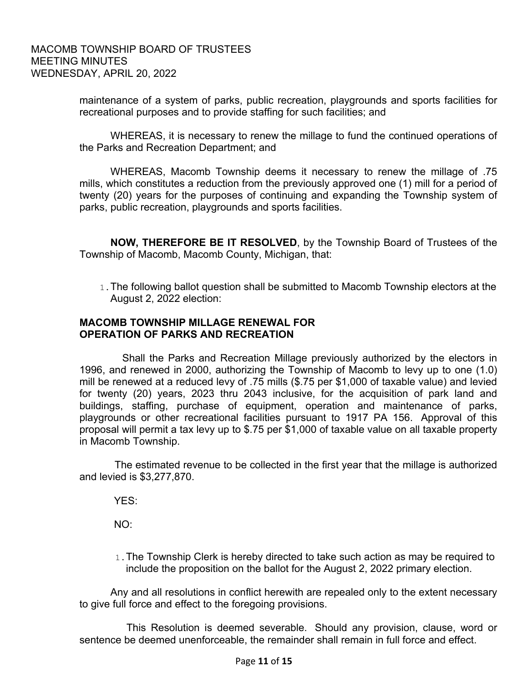maintenance of a system of parks, public recreation, playgrounds and sports facilities for recreational purposes and to provide staffing for such facilities; and

WHEREAS, it is necessary to renew the millage to fund the continued operations of the Parks and Recreation Department; and

WHEREAS, Macomb Township deems it necessary to renew the millage of .75 mills, which constitutes a reduction from the previously approved one (1) mill for a period of twenty (20) years for the purposes of continuing and expanding the Township system of parks, public recreation, playgrounds and sports facilities.

**NOW, THEREFORE BE IT RESOLVED**, by the Township Board of Trustees of the Township of Macomb, Macomb County, Michigan, that:

1.The following ballot question shall be submitted to Macomb Township electors at the August 2, 2022 election:

## **MACOMB TOWNSHIP MILLAGE RENEWAL FOR OPERATION OF PARKS AND RECREATION**

 Shall the Parks and Recreation Millage previously authorized by the electors in 1996, and renewed in 2000, authorizing the Township of Macomb to levy up to one (1.0) mill be renewed at a reduced levy of .75 mills (\$.75 per \$1,000 of taxable value) and levied for twenty (20) years, 2023 thru 2043 inclusive, for the acquisition of park land and buildings, staffing, purchase of equipment, operation and maintenance of parks, playgrounds or other recreational facilities pursuant to 1917 PA 156. Approval of this proposal will permit a tax levy up to \$.75 per \$1,000 of taxable value on all taxable property in Macomb Township.

 The estimated revenue to be collected in the first year that the millage is authorized and levied is \$3,277,870.

YES:

NO:

1.The Township Clerk is hereby directed to take such action as may be required to include the proposition on the ballot for the August 2, 2022 primary election.

Any and all resolutions in conflict herewith are repealed only to the extent necessary to give full force and effect to the foregoing provisions.

 This Resolution is deemed severable. Should any provision, clause, word or sentence be deemed unenforceable, the remainder shall remain in full force and effect.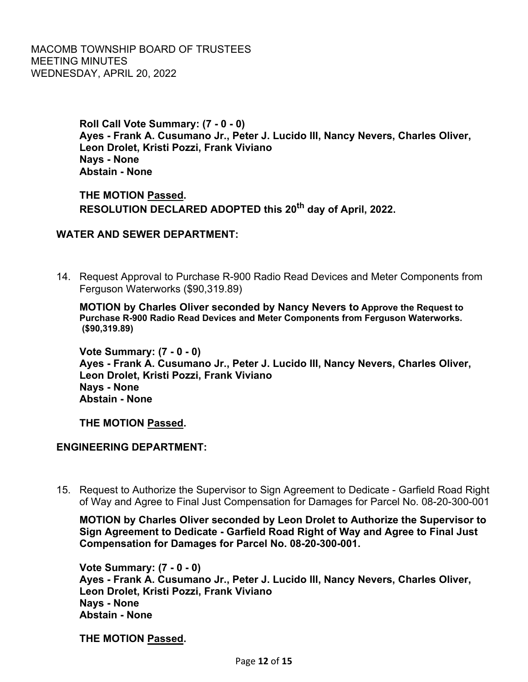> **Roll Call Vote Summary: (7 - 0 - 0) Ayes - Frank A. Cusumano Jr., Peter J. Lucido III, Nancy Nevers, Charles Oliver, Leon Drolet, Kristi Pozzi, Frank Viviano Nays - None Abstain - None**

**THE MOTION Passed. RESOLUTION DECLARED ADOPTED this 20th day of April, 2022.**

### **WATER AND SEWER DEPARTMENT:**

 14. Request Approval to Purchase R-900 Radio Read Devices and Meter Components from Ferguson Waterworks (\$90,319.89)

**MOTION by Charles Oliver seconded by Nancy Nevers to Approve the Request to Purchase R-900 Radio Read Devices and Meter Components from Ferguson Waterworks. (\$90,319.89)** 

**Vote Summary: (7 - 0 - 0) Ayes - Frank A. Cusumano Jr., Peter J. Lucido III, Nancy Nevers, Charles Oliver, Leon Drolet, Kristi Pozzi, Frank Viviano Nays - None Abstain - None** 

**THE MOTION Passed.**

## **ENGINEERING DEPARTMENT:**

 15. Request to Authorize the Supervisor to Sign Agreement to Dedicate - Garfield Road Right of Way and Agree to Final Just Compensation for Damages for Parcel No. 08-20-300-001

**MOTION by Charles Oliver seconded by Leon Drolet to Authorize the Supervisor to Sign Agreement to Dedicate - Garfield Road Right of Way and Agree to Final Just Compensation for Damages for Parcel No. 08-20-300-001.** 

**Vote Summary: (7 - 0 - 0) Ayes - Frank A. Cusumano Jr., Peter J. Lucido III, Nancy Nevers, Charles Oliver, Leon Drolet, Kristi Pozzi, Frank Viviano Nays - None Abstain - None** 

**THE MOTION Passed.**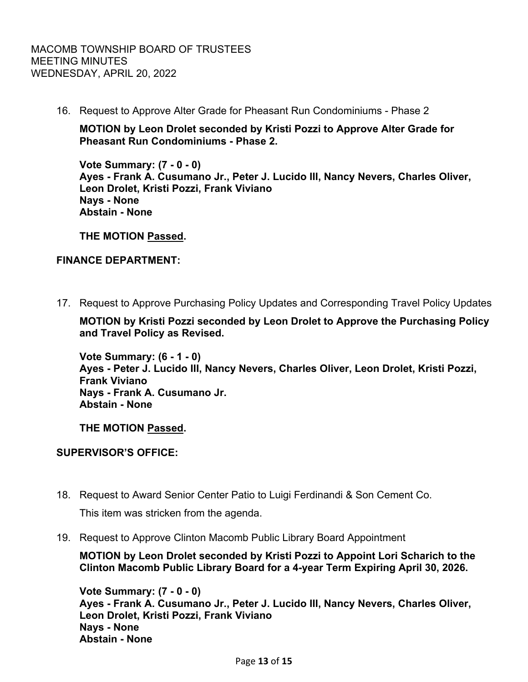16. Request to Approve Alter Grade for Pheasant Run Condominiums - Phase 2

### **MOTION by Leon Drolet seconded by Kristi Pozzi to Approve Alter Grade for Pheasant Run Condominiums - Phase 2.**

**Vote Summary: (7 - 0 - 0) Ayes - Frank A. Cusumano Jr., Peter J. Lucido III, Nancy Nevers, Charles Oliver, Leon Drolet, Kristi Pozzi, Frank Viviano Nays - None Abstain - None** 

**THE MOTION Passed.**

## **FINANCE DEPARTMENT:**

17. Request to Approve Purchasing Policy Updates and Corresponding Travel Policy Updates

**MOTION by Kristi Pozzi seconded by Leon Drolet to Approve the Purchasing Policy and Travel Policy as Revised.** 

**Vote Summary: (6 - 1 - 0) Ayes - Peter J. Lucido III, Nancy Nevers, Charles Oliver, Leon Drolet, Kristi Pozzi, Frank Viviano Nays - Frank A. Cusumano Jr. Abstain - None** 

**THE MOTION Passed.**

### **SUPERVISOR'S OFFICE:**

18. Request to Award Senior Center Patio to Luigi Ferdinandi & Son Cement Co.

This item was stricken from the agenda.

19. Request to Approve Clinton Macomb Public Library Board Appointment

**MOTION by Leon Drolet seconded by Kristi Pozzi to Appoint Lori Scharich to the Clinton Macomb Public Library Board for a 4-year Term Expiring April 30, 2026.** 

**Vote Summary: (7 - 0 - 0) Ayes - Frank A. Cusumano Jr., Peter J. Lucido III, Nancy Nevers, Charles Oliver, Leon Drolet, Kristi Pozzi, Frank Viviano Nays - None Abstain - None**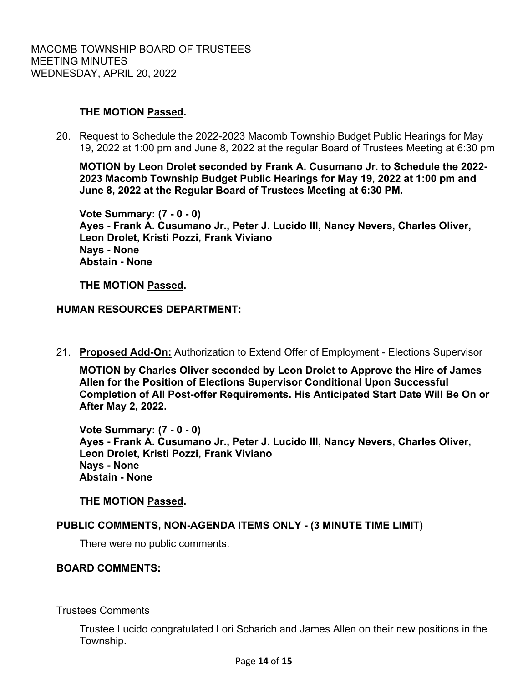## **THE MOTION Passed.**

 20. Request to Schedule the 2022-2023 Macomb Township Budget Public Hearings for May 19, 2022 at 1:00 pm and June 8, 2022 at the regular Board of Trustees Meeting at 6:30 pm

**MOTION by Leon Drolet seconded by Frank A. Cusumano Jr. to Schedule the 2022- 2023 Macomb Township Budget Public Hearings for May 19, 2022 at 1:00 pm and June 8, 2022 at the Regular Board of Trustees Meeting at 6:30 PM.** 

**Vote Summary: (7 - 0 - 0) Ayes - Frank A. Cusumano Jr., Peter J. Lucido III, Nancy Nevers, Charles Oliver, Leon Drolet, Kristi Pozzi, Frank Viviano Nays - None Abstain - None** 

**THE MOTION Passed.**

### **HUMAN RESOURCES DEPARTMENT:**

21. **Proposed Add-On:** Authorization to Extend Offer of Employment - Elections Supervisor

**MOTION by Charles Oliver seconded by Leon Drolet to Approve the Hire of James Allen for the Position of Elections Supervisor Conditional Upon Successful Completion of All Post-offer Requirements. His Anticipated Start Date Will Be On or After May 2, 2022.** 

**Vote Summary: (7 - 0 - 0) Ayes - Frank A. Cusumano Jr., Peter J. Lucido III, Nancy Nevers, Charles Oliver, Leon Drolet, Kristi Pozzi, Frank Viviano Nays - None Abstain - None** 

**THE MOTION Passed.**

### **PUBLIC COMMENTS, NON-AGENDA ITEMS ONLY - (3 MINUTE TIME LIMIT)**

There were no public comments.

### **BOARD COMMENTS:**

Trustees Comments

 Trustee Lucido congratulated Lori Scharich and James Allen on their new positions in the Township.